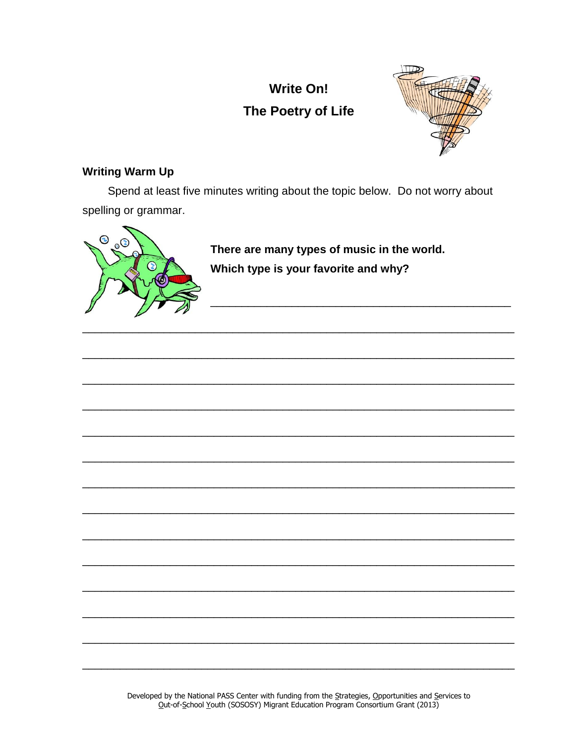# **Write On!** The Poetry of Life



## **Writing Warm Up**

Spend at least five minutes writing about the topic below. Do not worry about spelling or grammar.



There are many types of music in the world. Which type is your favorite and why?

<u> 2000 - Jan James James Jan James James James James James James James James James James James James James Jam</u>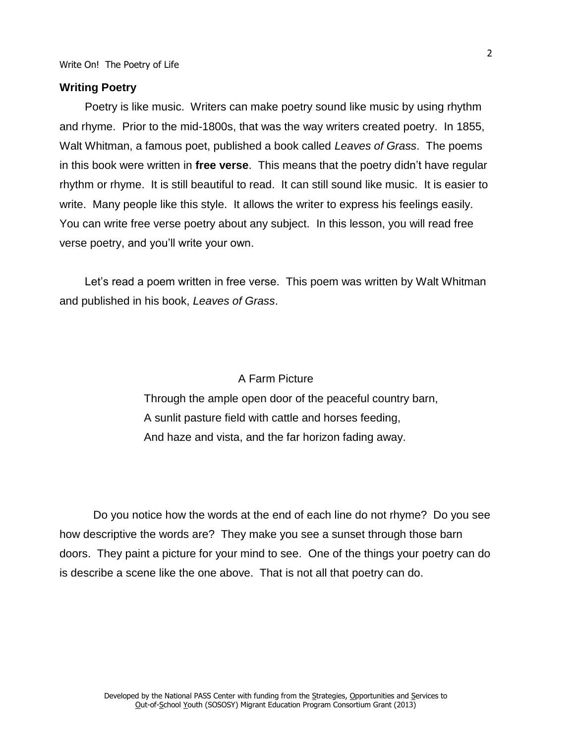#### **Writing Poetry**

Poetry is like music. Writers can make poetry sound like music by using rhythm and rhyme. Prior to the mid-1800s, that was the way writers created poetry. In 1855, Walt Whitman, a famous poet, published a book called *Leaves of Grass*. The poems in this book were written in **free verse**. This means that the poetry didn't have regular rhythm or rhyme. It is still beautiful to read. It can still sound like music. It is easier to write. Many people like this style. It allows the writer to express his feelings easily. You can write free verse poetry about any subject. In this lesson, you will read free verse poetry, and you'll write your own.

Let's read a poem written in free verse. This poem was written by Walt Whitman and published in his book, *Leaves of Grass*.

#### A Farm Picture

Through the ample open door of the peaceful country barn, A sunlit pasture field with cattle and horses feeding, And haze and vista, and the far horizon fading away.

Do you notice how the words at the end of each line do not rhyme? Do you see how descriptive the words are? They make you see a sunset through those barn doors. They paint a picture for your mind to see. One of the things your poetry can do is describe a scene like the one above. That is not all that poetry can do.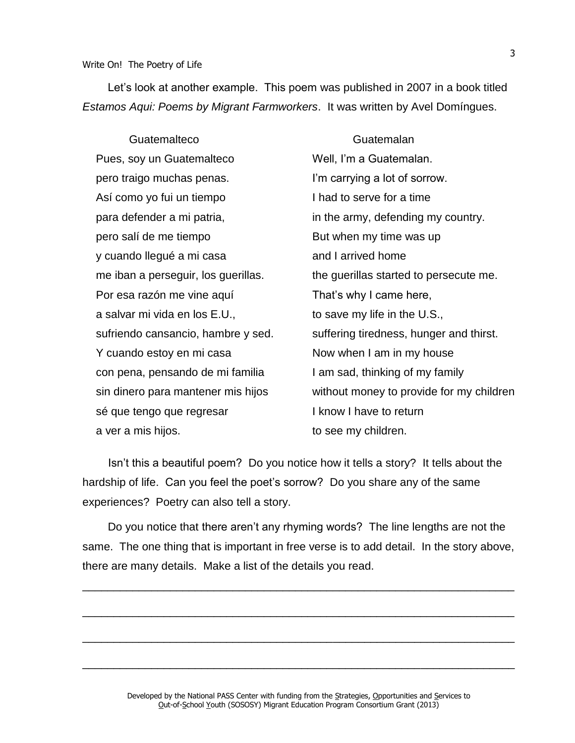#### Write On! The Poetry of Life

Let's look at another example. This poem was published in 2007 in a book titled *Estamos Aqui: Poems by Migrant Farmworkers*. It was written by Avel Domíngues.

Guatemalteco Guatemalan Pues, soy un Guatemalteco pero traigo muchas penas. Así como yo fui un tiempo para defender a mi patria, pero salí de me tiempo y cuando llegué a mi casa me iban a perseguir, los guerillas. Por esa razón me vine aquí a salvar mi vida en los E.U., sufriendo cansancio, hambre y sed. Y cuando estoy en mi casa con pena, pensando de mi familia sin dinero para mantener mis hijos sé que tengo que regresar a ver a mis hijos. Well, I'm a Guatemalan. I'm carrying a lot of sorrow. I had to serve for a time in the army, defending my country. But when my time was up and I arrived home the guerillas started to persecute me. That's why I came here, to save my life in the U.S., suffering tiredness, hunger and thirst. Now when I am in my house I am sad, thinking of my family without money to provide for my children I know I have to return to see my children.

Isn't this a beautiful poem? Do you notice how it tells a story? It tells about the hardship of life. Can you feel the poet's sorrow? Do you share any of the same experiences? Poetry can also tell a story.

Do you notice that there aren't any rhyming words? The line lengths are not the same. The one thing that is important in free verse is to add detail. In the story above, there are many details. Make a list of the details you read.

\_\_\_\_\_\_\_\_\_\_\_\_\_\_\_\_\_\_\_\_\_\_\_\_\_\_\_\_\_\_\_\_\_\_\_\_\_\_\_\_\_\_\_\_\_\_\_\_\_\_\_\_\_\_\_\_\_\_\_\_\_\_\_\_\_\_\_\_\_

\_\_\_\_\_\_\_\_\_\_\_\_\_\_\_\_\_\_\_\_\_\_\_\_\_\_\_\_\_\_\_\_\_\_\_\_\_\_\_\_\_\_\_\_\_\_\_\_\_\_\_\_\_\_\_\_\_\_\_\_\_\_\_\_\_\_\_\_\_

\_\_\_\_\_\_\_\_\_\_\_\_\_\_\_\_\_\_\_\_\_\_\_\_\_\_\_\_\_\_\_\_\_\_\_\_\_\_\_\_\_\_\_\_\_\_\_\_\_\_\_\_\_\_\_\_\_\_\_\_\_\_\_\_\_\_\_\_\_

\_\_\_\_\_\_\_\_\_\_\_\_\_\_\_\_\_\_\_\_\_\_\_\_\_\_\_\_\_\_\_\_\_\_\_\_\_\_\_\_\_\_\_\_\_\_\_\_\_\_\_\_\_\_\_\_\_\_\_\_\_\_\_\_\_\_\_\_\_

#### 3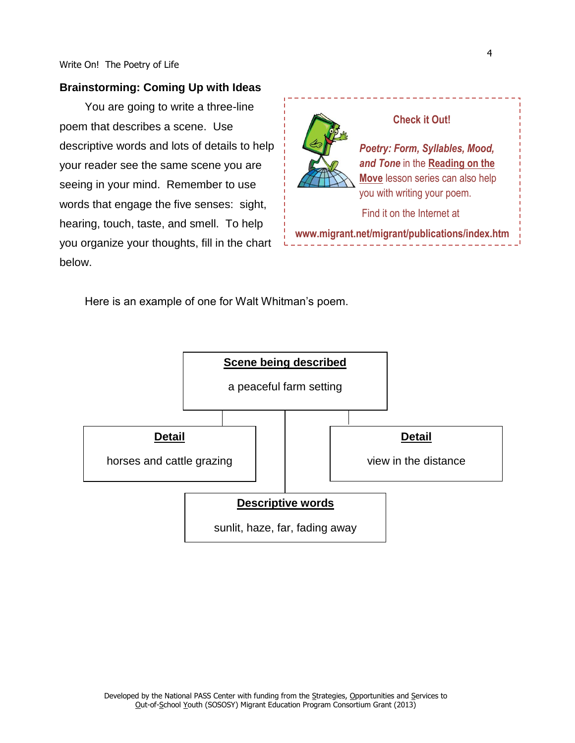#### **Brainstorming: Coming Up with Ideas**

You are going to write a three-line poem that describes a scene. Use descriptive words and lots of details to help your reader see the same scene you are seeing in your mind. Remember to use words that engage the five senses: sight, hearing, touch, taste, and smell. To help you organize your thoughts, fill in the chart below.



#### **Check it Out!**

*Poetry: Form, Syllables, Mood, and Tone* in the **Reading on the Move** lesson series can also help you with writing your poem.

Find it on the Internet at

**www.migrant.net/migrant/publications/index.htm**

Here is an example of one for Walt Whitman's poem.

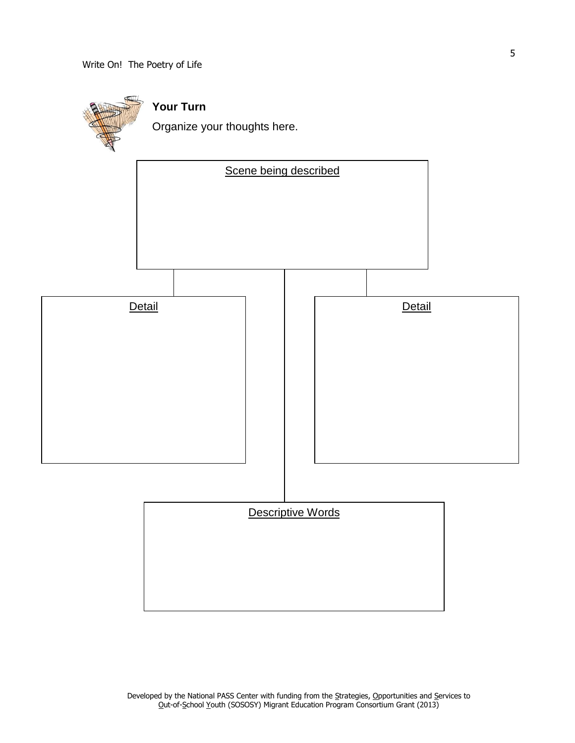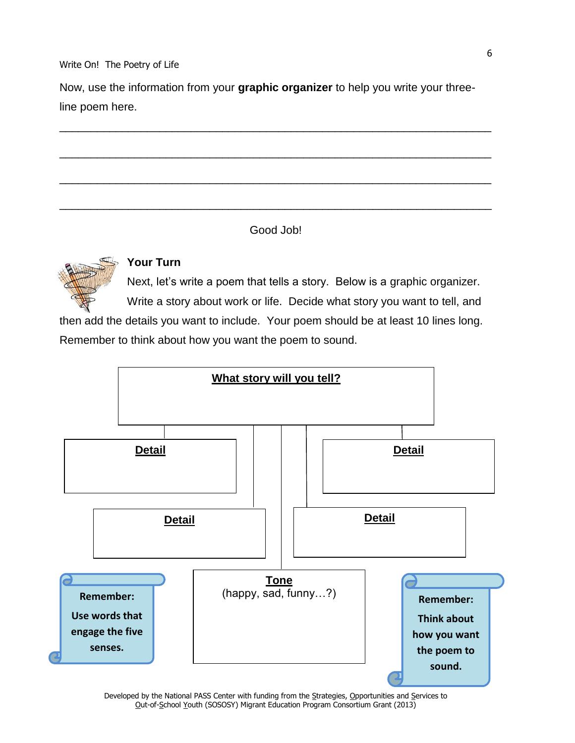Write On! The Poetry of Life

Now, use the information from your **graphic organizer** to help you write your threeline poem here.

\_\_\_\_\_\_\_\_\_\_\_\_\_\_\_\_\_\_\_\_\_\_\_\_\_\_\_\_\_\_\_\_\_\_\_\_\_\_\_\_\_\_\_\_\_\_\_\_\_\_\_\_\_\_\_\_\_\_\_\_\_\_\_\_\_\_\_\_\_

\_\_\_\_\_\_\_\_\_\_\_\_\_\_\_\_\_\_\_\_\_\_\_\_\_\_\_\_\_\_\_\_\_\_\_\_\_\_\_\_\_\_\_\_\_\_\_\_\_\_\_\_\_\_\_\_\_\_\_\_\_\_\_\_\_\_\_\_\_

\_\_\_\_\_\_\_\_\_\_\_\_\_\_\_\_\_\_\_\_\_\_\_\_\_\_\_\_\_\_\_\_\_\_\_\_\_\_\_\_\_\_\_\_\_\_\_\_\_\_\_\_\_\_\_\_\_\_\_\_\_\_\_\_\_\_\_\_\_

\_\_\_\_\_\_\_\_\_\_\_\_\_\_\_\_\_\_\_\_\_\_\_\_\_\_\_\_\_\_\_\_\_\_\_\_\_\_\_\_\_\_\_\_\_\_\_\_\_\_\_\_\_\_\_\_\_\_\_\_\_\_\_\_\_\_\_\_\_

Good Job!



## **Your Turn**

Next, let's write a poem that tells a story. Below is a graphic organizer.

Write a story about work or life. Decide what story you want to tell, and

then add the details you want to include. Your poem should be at least 10 lines long. Remember to think about how you want the poem to sound.



Developed by the National PASS Center with funding from the Strategies, Opportunities and Services to Out-of-School Youth (SOSOSY) Migrant Education Program Consortium Grant (2013)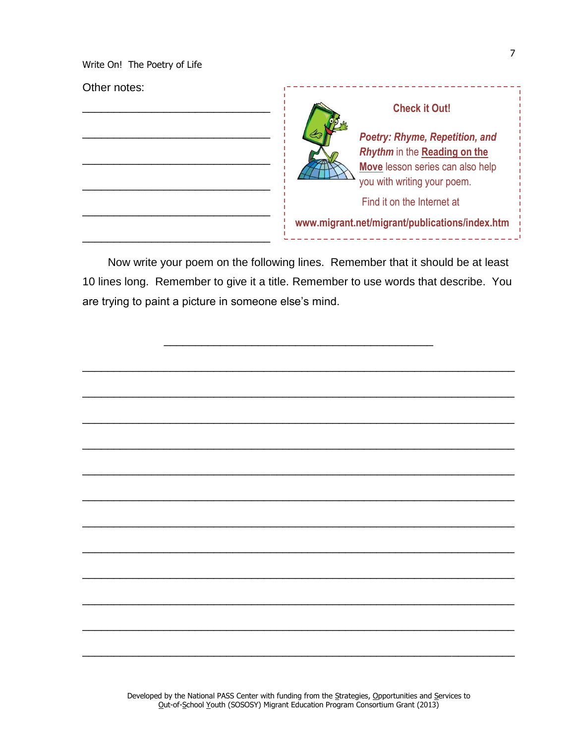Write On! The Poetry of Life

### Other notes:



Now write your poem on the following lines. Remember that it should be at least 10 lines long. Remember to give it a title. Remember to use words that describe. You are trying to paint a picture in someone else's mind.



---------------------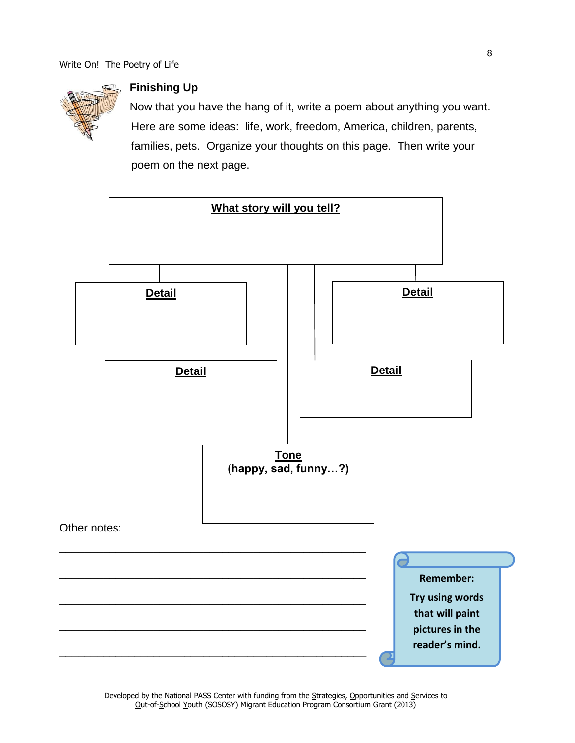

## **Finishing Up**

Now that you have the hang of it, write a poem about anything you want. Here are some ideas: life, work, freedom, America, children, parents, families, pets. Organize your thoughts on this page. Then write your poem on the next page.

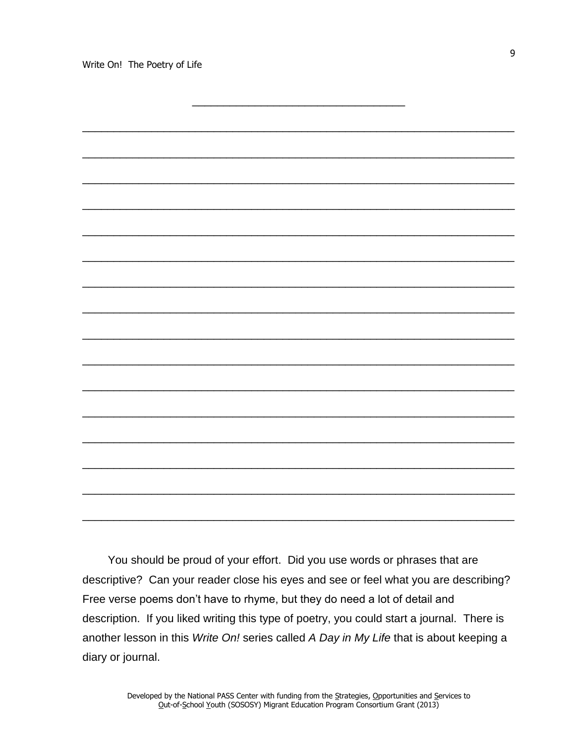

You should be proud of your effort. Did you use words or phrases that are descriptive? Can your reader close his eyes and see or feel what you are describing? Free verse poems don't have to rhyme, but they do need a lot of detail and description. If you liked writing this type of poetry, you could start a journal. There is another lesson in this *Write On!* series called *A Day in My Life* that is about keeping a diary or journal.